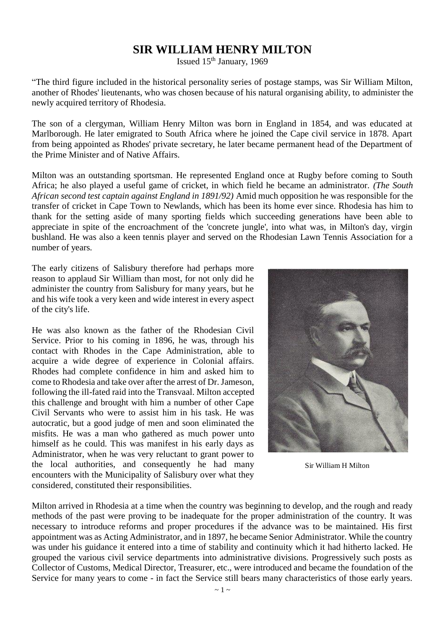## **SIR WILLIAM HENRY MILTON**

Issued  $15<sup>th</sup>$  January, 1969

"The third figure included in the historical personality series of postage stamps, was Sir William Milton, another of Rhodes' lieutenants, who was chosen because of his natural organising ability, to administer the newly acquired territory of Rhodesia.

The son of a clergyman, William Henry Milton was born in England in 1854, and was educated at Marlborough. He later emigrated to South Africa where he joined the Cape civil service in 1878. Apart from being appointed as Rhodes' private secretary, he later became permanent head of the Department of the Prime Minister and of Native Affairs.

Milton was an outstanding sportsman. He represented England once at Rugby before coming to South Africa; he also played a useful game of cricket, in which field he became an administrator. *(The South African second test captain against England in 1891/92)* Amid much opposition he was responsible for the transfer of cricket in Cape Town to Newlands, which has been its home ever since. Rhodesia has him to thank for the setting aside of many sporting fields which succeeding generations have been able to appreciate in spite of the encroachment of the 'concrete jungle', into what was, in Milton's day, virgin bushland. He was also a keen tennis player and served on the Rhodesian Lawn Tennis Association for a number of years.

The early citizens of Salisbury therefore had perhaps more reason to applaud Sir William than most, for not only did he administer the country from Salisbury for many years, but he and his wife took a very keen and wide interest in every aspect of the city's life.

He was also known as the father of the Rhodesian Civil Service. Prior to his coming in 1896, he was, through his contact with Rhodes in the Cape Administration, able to acquire a wide degree of experience in Colonial affairs. Rhodes had complete confidence in him and asked him to come to Rhodesia and take over after the arrest of Dr. Jameson, following the ill-fated raid into the Transvaal. Milton accepted this challenge and brought with him a number of other Cape Civil Servants who were to assist him in his task. He was autocratic, but a good judge of men and soon eliminated the misfits. He was a man who gathered as much power unto himself as he could. This was manifest in his early days as Administrator, when he was very reluctant to grant power to the local authorities, and consequently he had many encounters with the Municipality of Salisbury over what they considered, constituted their responsibilities.



Sir William H Milton

Milton arrived in Rhodesia at a time when the country was beginning to develop, and the rough and ready methods of the past were proving to be inadequate for the proper administration of the country. It was necessary to introduce reforms and proper procedures if the advance was to be maintained. His first appointment was as Acting Administrator, and in 1897, he became Senior Administrator. While the country was under his guidance it entered into a time of stability and continuity which it had hitherto lacked. He grouped the various civil service departments into administrative divisions. Progressively such posts as Collector of Customs, Medical Director, Treasurer, etc., were introduced and became the foundation of the Service for many years to come - in fact the Service still bears many characteristics of those early years.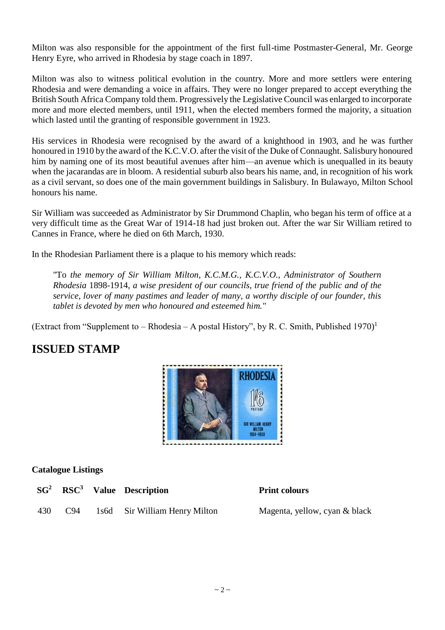Milton was also responsible for the appointment of the first full-time Postmaster-General, Mr. George Henry Eyre, who arrived in Rhodesia by stage coach in 1897.

Milton was also to witness political evolution in the country. More and more settlers were entering Rhodesia and were demanding a voice in affairs. They were no longer prepared to accept everything the British South Africa Company told them. Progressively the Legislative Council was enlarged to incorporate more and more elected members, until 1911, when the elected members formed the majority, a situation which lasted until the granting of responsible government in 1923.

His services in Rhodesia were recognised by the award of a knighthood in 1903, and he was further honoured in 1910 by the award of the K.C.V.O. after the visit of the Duke of Connaught. Salisbury honoured him by naming one of its most beautiful avenues after him—an avenue which is unequalled in its beauty when the jacarandas are in bloom. A residential suburb also bears his name, and, in recognition of his work as a civil servant, so does one of the main government buildings in Salisbury. In Bulawayo, Milton School honours his name.

Sir William was succeeded as Administrator by Sir Drummond Chaplin, who began his term of office at a very difficult time as the Great War of 1914-18 had just broken out. After the war Sir William retired to Cannes in France, where he died on 6th March, 1930.

In the Rhodesian Parliament there is a plaque to his memory which reads:

"To *the memory of Sir William Milton, K.C.M.G., K.C.V.O., Administrator of Southern Rhodesia* 1898-1914, *a wise president of our councils, true friend of the public and of the service, lover of many pastimes and leader of many, a worthy disciple of our founder, this tablet is devoted by men who honoured and esteemed him."*

(Extract from "Supplement to – Rhodesia – A postal History", by R. C. Smith, Published 1970)<sup>1</sup>

# **ISSUED STAMP**



#### **Catalogue Listings**

|  | $SG2$ RSC <sup>3</sup> Value Description |
|--|------------------------------------------|
|  | 430 C94 1s6d Sir William Henry Milton    |

**Print colours** 

Magenta, yellow, cyan & black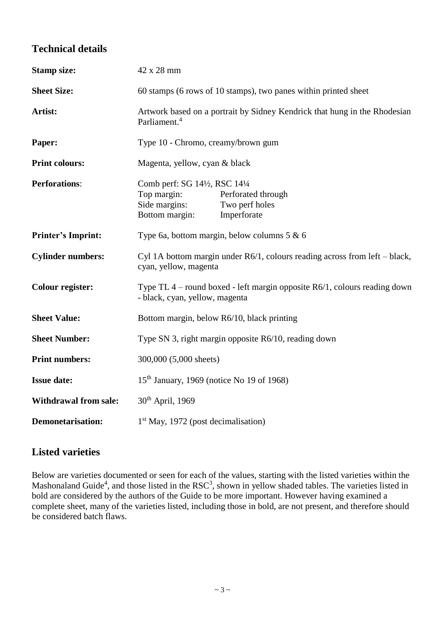### **Technical details**

| <b>Stamp size:</b>           | 42 x 28 mm                                                                                                                          |  |  |  |
|------------------------------|-------------------------------------------------------------------------------------------------------------------------------------|--|--|--|
| <b>Sheet Size:</b>           | 60 stamps (6 rows of 10 stamps), two panes within printed sheet                                                                     |  |  |  |
| Artist:                      | Artwork based on a portrait by Sidney Kendrick that hung in the Rhodesian<br>Parliament. <sup>4</sup>                               |  |  |  |
| Paper:                       | Type 10 - Chromo, creamy/brown gum                                                                                                  |  |  |  |
| <b>Print colours:</b>        | Magenta, yellow, cyan & black                                                                                                       |  |  |  |
| <b>Perforations:</b>         | Comb perf: SG 14½, RSC 14½<br>Top margin:<br>Perforated through<br>Side margins:<br>Two perf holes<br>Bottom margin:<br>Imperforate |  |  |  |
| <b>Printer's Imprint:</b>    | Type 6a, bottom margin, below columns $5 & 6$                                                                                       |  |  |  |
| <b>Cylinder numbers:</b>     | Cyl 1A bottom margin under $R6/1$ , colours reading across from left – black,<br>cyan, yellow, magenta                              |  |  |  |
| <b>Colour register:</b>      | Type TL $4$ – round boxed - left margin opposite R6/1, colours reading down<br>- black, cyan, yellow, magenta                       |  |  |  |
| <b>Sheet Value:</b>          | Bottom margin, below R6/10, black printing                                                                                          |  |  |  |
| <b>Sheet Number:</b>         | Type SN 3, right margin opposite R6/10, reading down                                                                                |  |  |  |
| <b>Print numbers:</b>        | 300,000 (5,000 sheets)                                                                                                              |  |  |  |
| <b>Issue date:</b>           | $15th$ January, 1969 (notice No 19 of 1968)                                                                                         |  |  |  |
| <b>Withdrawal from sale:</b> | 30 <sup>th</sup> April, 1969                                                                                                        |  |  |  |
| <b>Demonetarisation:</b>     | 1 <sup>st</sup> May, 1972 (post decimalisation)                                                                                     |  |  |  |

### **Listed varieties**

Below are varieties documented or seen for each of the values, starting with the listed varieties within the Mashonaland Guide<sup>4</sup>, and those listed in the RSC<sup>3</sup>, shown in yellow shaded tables. The varieties listed in bold are considered by the authors of the Guide to be more important. However having examined a complete sheet, many of the varieties listed, including those in bold, are not present, and therefore should be considered batch flaws.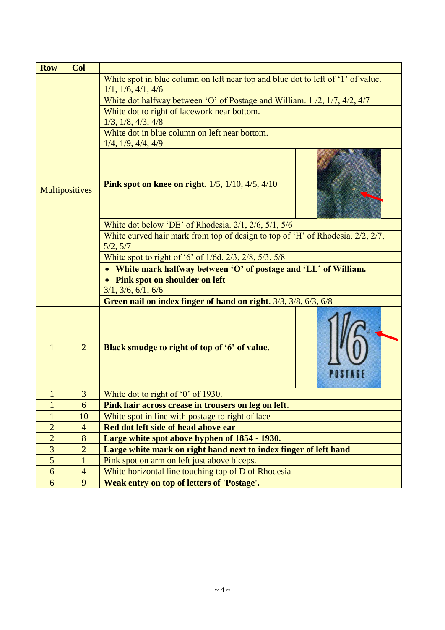| <b>Row</b>     | Col            |                                                                                  |  |  |  |
|----------------|----------------|----------------------------------------------------------------------------------|--|--|--|
| Multipositives |                | White spot in blue column on left near top and blue dot to left of '1' of value. |  |  |  |
|                |                | 1/1, 1/6, 4/1, 4/6                                                               |  |  |  |
|                |                | White dot halfway between 'O' of Postage and William. 1/2, 1/7, 4/2, 4/7         |  |  |  |
|                |                | White dot to right of lacework near bottom.                                      |  |  |  |
|                |                | 1/3, 1/8, 4/3, 4/8                                                               |  |  |  |
|                |                | White dot in blue column on left near bottom.                                    |  |  |  |
|                |                | $1/4$ , $1/9$ , $4/4$ , $4/9$                                                    |  |  |  |
|                |                | <b>Pink spot on knee on right.</b> $1/5$ , $1/10$ , $4/5$ , $4/10$               |  |  |  |
|                |                | White dot below 'DE' of Rhodesia. 2/1, 2/6, 5/1, 5/6                             |  |  |  |
|                |                | White curved hair mark from top of design to top of 'H' of Rhodesia. 2/2, 2/7,   |  |  |  |
|                |                | 5/2, 5/7                                                                         |  |  |  |
|                |                | White spot to right of '6' of 1/6d. 2/3, 2/8, 5/3, 5/8                           |  |  |  |
|                |                | White mark halfway between 'O' of postage and 'LL' of William.                   |  |  |  |
|                |                | <b>Pink spot on shoulder on left</b>                                             |  |  |  |
|                |                | 3/1, 3/6, 6/1, 6/6                                                               |  |  |  |
|                |                | Green nail on index finger of hand on right. 3/3, 3/8, 6/3, 6/8                  |  |  |  |
| $\mathbf{1}$   | $\overline{2}$ | Black smudge to right of top of '6' of value.                                    |  |  |  |
| $\mathbf{1}$   | $\overline{3}$ | White dot to right of '0' of 1930.                                               |  |  |  |
| $\mathbf{1}$   | 6              | Pink hair across crease in trousers on leg on left.                              |  |  |  |
| $\mathbf{1}$   | 10             | White spot in line with postage to right of lace                                 |  |  |  |
| $\overline{2}$ | $\overline{4}$ | Red dot left side of head above ear                                              |  |  |  |
| $\overline{2}$ | 8              | Large white spot above hyphen of 1854 - 1930.                                    |  |  |  |
| 3              | $\overline{2}$ | Large white mark on right hand next to index finger of left hand                 |  |  |  |
| 5              | $\mathbf{1}$   | Pink spot on arm on left just above biceps.                                      |  |  |  |
| 6              | $\overline{4}$ | White horizontal line touching top of D of Rhodesia                              |  |  |  |
| 6              | 9              | <b>Weak entry on top of letters of 'Postage'.</b>                                |  |  |  |